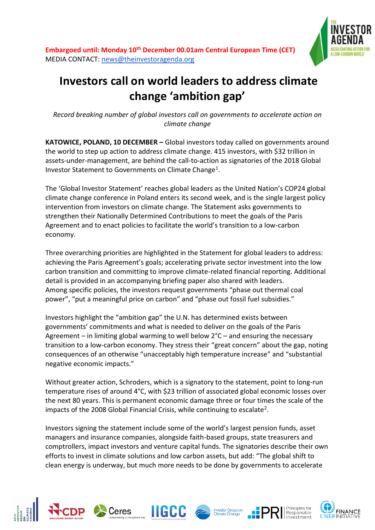



## **Investors call on world leaders to address climate change 'ambition gap'**

*Record breaking number of global investors call on governments to accelerate action on climate change*

**KATOWICE, POLAND, 10 DECEMBER –** Global investors today called on governments around the world to step up action to address climate change. 415 investors, with \$32 trillion in assets-under-management, are behind the call-to-action as signatories of the 2018 Global Investor Statement to Governments on Climate Change<sup>1</sup>.

The 'Global Investor Statement' reaches global leaders as the United Nation's COP24 global climate change conference in Poland enters its second week, and is the single largest policy intervention from investors on climate change. The Statement asks governments to strengthen their Nationally Determined Contributions to meet the goals of the Paris Agreement and to enact policies to facilitate the world's transition to a low-carbon economy.

Three overarching priorities are highlighted in the Statement for global leaders to address: achieving the Paris Agreement's goals; accelerating private sector investment into the low carbon transition and committing to improve climate-related financial reporting. Additional detail is provided in an accompanying briefing paper also shared with leaders. Among specific policies, the investors request governments "phase out thermal coal power", "put a meaningful price on carbon" and "phase out fossil fuel subsidies."

Investors highlight the "ambition gap" the U.N. has determined exists between governments' commitments and what is needed to deliver on the goals of the Paris Agreement – in limiting global warming to well below 2°C – and ensuring the necessary transition to a low-carbon economy. They stress their "great concern" about the gap, noting consequences of an otherwise "unacceptably high temperature increase" and "substantial negative economic impacts."

Without greater action, Schroders, which is a signatory to the statement, point to long-run temperature rises of around 4°C, with \$23 trillion of associated global economic losses over the next 80 years. This is permanent economic damage three or four times the scale of the impacts of the 2008 Global Financial Crisis, while continuing to escalate<sup>2</sup>.

Investors signing the statement include some of the world's largest pension funds, asset managers and insurance companies, alongside faith-based groups, state treasurers and comptrollers, impact investors and venture capital funds. The signatories describe their own efforts to invest in climate solutions and low carbon assets, but add: "The global shift to clean energy is underway, but much more needs to be done by governments to accelerate

**IIGCC** 

Ceres

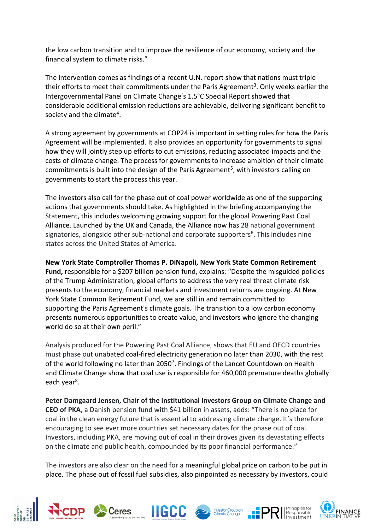the low carbon transition and to improve the resilience of our economy, society and the financial system to climate risks."

The intervention comes as findings of a recent U.N. report show that nations must triple their efforts to meet their commitments under the Paris Agreement<sup>3</sup>. Only weeks earlier the Intergovernmental Panel on Climate Change's 1.5°C Special Report showed that considerable additional emission reductions are achievable, delivering significant benefit to society and the climate<sup>4</sup>.

A strong agreement by governments at COP24 is important in setting rules for how the Paris Agreement will be implemented. It also provides an opportunity for governments to signal how they will jointly step up efforts to cut emissions, reducing associated impacts and the costs of climate change. The process for governments to increase ambition of their climate commitments is built into the design of the Paris Agreement<sup>5</sup>, with investors calling on governments to start the process this year.

The investors also call for the phase out of coal power worldwide as one of the supporting actions that governments should take. As highlighted in the briefing accompanying the Statement, this includes welcoming growing support for the global Powering Past Coal Alliance. Launched by the UK and Canada, the Alliance now has 28 national government signatories, alongside other sub-national and corporate supporters<sup>6</sup>. This includes nine states across the United States of America.

**New York State Comptroller Thomas P. DiNapoli, New York State Common Retirement Fund,** responsible for a \$207 billion pension fund, explains: "Despite the misguided policies of the Trump Administration, global efforts to address the very real threat climate risk presents to the economy, financial markets and investment returns are ongoing. At New York State Common Retirement Fund, we are still in and remain committed to supporting the Paris Agreement's climate goals. The transition to a low carbon economy presents numerous opportunities to create value, and investors who ignore the changing world do so at their own peril."

Analysis produced for the Powering Past Coal Alliance, shows that EU and OECD countries must phase out unabated coal-fired electricity generation no later than 2030, with the rest of the world following no later than 2050<sup>7</sup>. Findings of the Lancet Countdown on Health and Climate Change show that coal use is responsible for 460,000 premature deaths globally each year<sup>8</sup>.

**Peter Damgaard Jensen, Chair of the Institutional Investors Group on Climate Change and CEO of PKA**, a Danish pension fund with \$41 billion in assets, adds: "There is no place for coal in the clean energy future that is essential to addressing climate change. It's therefore encouraging to see ever more countries set necessary dates for the phase out of coal. Investors, including PKA, are moving out of coal in their droves given its devastating effects on the climate and public health, compounded by its poor financial performance."

The investors are also clear on the need for a meaningful global price on carbon to be put in place. The phase out of fossil fuel subsidies, also pinpointed as necessary by investors, could